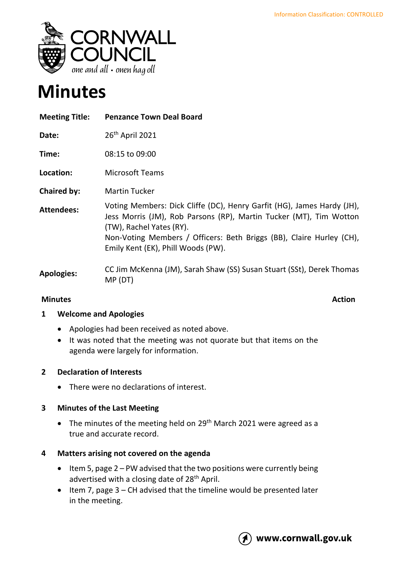

# **Minutes**

| <b>Meeting Title:</b> | <b>Penzance Town Deal Board</b>                                                                                                                                                                                                                  |
|-----------------------|--------------------------------------------------------------------------------------------------------------------------------------------------------------------------------------------------------------------------------------------------|
| Date:                 | 26 <sup>th</sup> April 2021                                                                                                                                                                                                                      |
| Time:                 | 08:15 to 09:00                                                                                                                                                                                                                                   |
| Location:             | <b>Microsoft Teams</b>                                                                                                                                                                                                                           |
| <b>Chaired by:</b>    | <b>Martin Tucker</b>                                                                                                                                                                                                                             |
| <b>Attendees:</b>     | Voting Members: Dick Cliffe (DC), Henry Garfit (HG), James Hardy (JH),<br>Jess Morris (JM), Rob Parsons (RP), Martin Tucker (MT), Tim Wotton<br>(TW), Rachel Yates (RY).<br>Non-Voting Members / Officers: Beth Briggs (BB), Claire Hurley (CH), |
|                       | Emily Kent (EK), Phill Woods (PW).                                                                                                                                                                                                               |
| <b>Apologies:</b>     | CC Jim McKenna (JM), Sarah Shaw (SS) Susan Stuart (SSt), Derek Thomas<br>MP (DT)                                                                                                                                                                 |

# **Minutes** Action

## **1 Welcome and Apologies**

- Apologies had been received as noted above.
- It was noted that the meeting was not quorate but that items on the agenda were largely for information.

## **2 Declaration of Interests**

• There were no declarations of interest.

#### **3 Minutes of the Last Meeting**

• The minutes of the meeting held on 29<sup>th</sup> March 2021 were agreed as a true and accurate record.

## **4 Matters arising not covered on the agenda**

- Item 5, page 2 PW advised that the two positions were currently being advertised with a closing date of 28<sup>th</sup> April.
- Item 7, page 3 CH advised that the timeline would be presented later in the meeting.

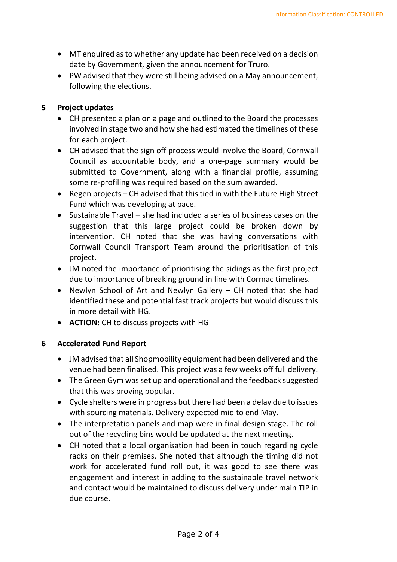- MT enquired as to whether any update had been received on a decision date by Government, given the announcement for Truro.
- PW advised that they were still being advised on a May announcement, following the elections.

#### **5 Project updates**

- CH presented a plan on a page and outlined to the Board the processes involved in stage two and how she had estimated the timelines of these for each project.
- CH advised that the sign off process would involve the Board, Cornwall Council as accountable body, and a one-page summary would be submitted to Government, along with a financial profile, assuming some re-profiling was required based on the sum awarded.
- Regen projects CH advised that this tied in with the Future High Street Fund which was developing at pace.
- Sustainable Travel she had included a series of business cases on the suggestion that this large project could be broken down by intervention. CH noted that she was having conversations with Cornwall Council Transport Team around the prioritisation of this project.
- JM noted the importance of prioritising the sidings as the first project due to importance of breaking ground in line with Cormac timelines.
- Newlyn School of Art and Newlyn Gallery CH noted that she had identified these and potential fast track projects but would discuss this in more detail with HG.
- **ACTION:** CH to discuss projects with HG

## **6 Accelerated Fund Report**

- JM advised that all Shopmobility equipment had been delivered and the venue had been finalised. This project was a few weeks off full delivery.
- The Green Gym was set up and operational and the feedback suggested that this was proving popular.
- Cycle shelters were in progress but there had been a delay due to issues with sourcing materials. Delivery expected mid to end May.
- The interpretation panels and map were in final design stage. The roll out of the recycling bins would be updated at the next meeting.
- CH noted that a local organisation had been in touch regarding cycle racks on their premises. She noted that although the timing did not work for accelerated fund roll out, it was good to see there was engagement and interest in adding to the sustainable travel network and contact would be maintained to discuss delivery under main TIP in due course.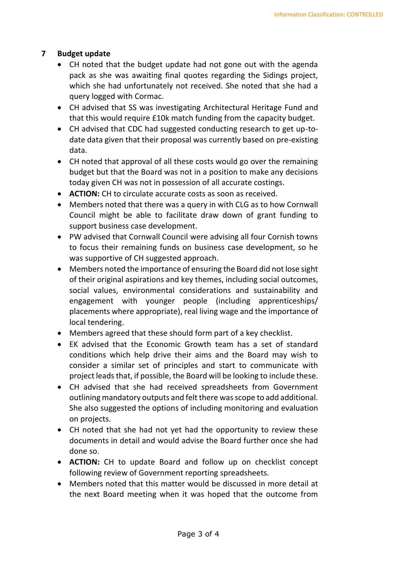# **7 Budget update**

- CH noted that the budget update had not gone out with the agenda pack as she was awaiting final quotes regarding the Sidings project, which she had unfortunately not received. She noted that she had a query logged with Cormac.
- CH advised that SS was investigating Architectural Heritage Fund and that this would require £10k match funding from the capacity budget.
- CH advised that CDC had suggested conducting research to get up-todate data given that their proposal was currently based on pre-existing data.
- CH noted that approval of all these costs would go over the remaining budget but that the Board was not in a position to make any decisions today given CH was not in possession of all accurate costings.
- **ACTION:** CH to circulate accurate costs as soon as received.
- Members noted that there was a query in with CLG as to how Cornwall Council might be able to facilitate draw down of grant funding to support business case development.
- PW advised that Cornwall Council were advising all four Cornish towns to focus their remaining funds on business case development, so he was supportive of CH suggested approach.
- Members noted the importance of ensuring the Board did not lose sight of their original aspirations and key themes, including social outcomes, social values, environmental considerations and sustainability and engagement with younger people (including apprenticeships/ placements where appropriate), real living wage and the importance of local tendering.
- Members agreed that these should form part of a key checklist.
- EK advised that the Economic Growth team has a set of standard conditions which help drive their aims and the Board may wish to consider a similar set of principles and start to communicate with project leads that, if possible, the Board will be looking to include these.
- CH advised that she had received spreadsheets from Government outlining mandatory outputs and felt there was scope to add additional. She also suggested the options of including monitoring and evaluation on projects.
- CH noted that she had not yet had the opportunity to review these documents in detail and would advise the Board further once she had done so.
- **ACTION:** CH to update Board and follow up on checklist concept following review of Government reporting spreadsheets.
- Members noted that this matter would be discussed in more detail at the next Board meeting when it was hoped that the outcome from